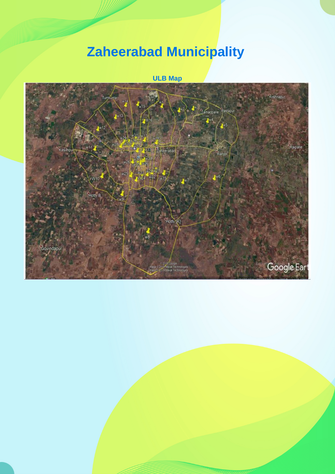## **Zaheerabad Municipality**

**ULB Map**

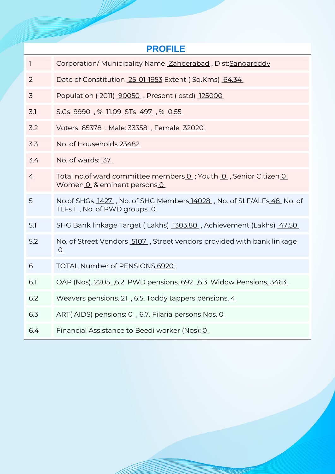| <b>PROFILE</b> |                                                                                                    |  |  |  |  |  |
|----------------|----------------------------------------------------------------------------------------------------|--|--|--|--|--|
| $\mathbf{1}$   | Corporation/Municipality Name Zaheerabad, Dist:Sangareddy                                          |  |  |  |  |  |
| 2              | Date of Constitution 25-01-1953 Extent (Sq.Kms) 64.34                                              |  |  |  |  |  |
| 3              | Population (2011) 90050, Present (estd) 125000                                                     |  |  |  |  |  |
| 3.1            | S.Cs <u>9990</u> , % 11.09 STs <u>497</u> , % 0.55                                                 |  |  |  |  |  |
| 3.2            | Voters 65378 : Male: 33358, Female 32020                                                           |  |  |  |  |  |
| 3.3            | No. of Households 23482                                                                            |  |  |  |  |  |
| 3.4            | No. of wards: 37                                                                                   |  |  |  |  |  |
| 4              | Total no.of ward committee members 0; Youth 0, Senior Citizen 0<br>Women 0 & eminent persons 0     |  |  |  |  |  |
| 5              | No.of SHGs 1427, No. of SHG Members 14028, No. of SLF/ALFs 48 No. of<br>TLFs1, No. of PWD groups 0 |  |  |  |  |  |
| 5.1            | SHG Bank linkage Target (Lakhs) 1303.80, Achievement (Lakhs) 47.50                                 |  |  |  |  |  |
| 5.2            | No. of Street Vendors 5107, Street vendors provided with bank linkage<br>$\Omega$                  |  |  |  |  |  |
| 6              | TOTAL Number of PENSIONS 6920;                                                                     |  |  |  |  |  |
| 6.1            | OAP (Nos). 2205, 6.2. PWD pensions. 692, 6.3. Widow Pensions, 3463                                 |  |  |  |  |  |
| 6.2            | Weavers pensions. 21, 6.5. Toddy tappers pensions. 4                                               |  |  |  |  |  |
| 6.3            | ART(AIDS) pensions: 0, 6.7. Filaria persons Nos. 0                                                 |  |  |  |  |  |
| 6.4            | Financial Assistance to Beedi worker (Nos): 0                                                      |  |  |  |  |  |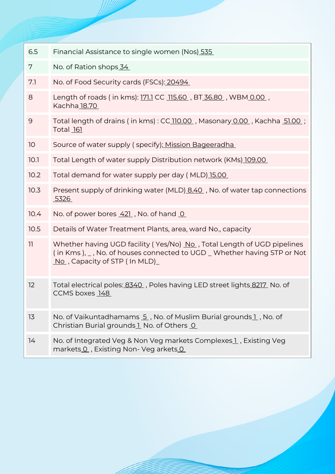| 6.5  | Financial Assistance to single women (Nos) 535                                                                                                                                                  |  |  |  |
|------|-------------------------------------------------------------------------------------------------------------------------------------------------------------------------------------------------|--|--|--|
| 7    | No. of Ration shops 34                                                                                                                                                                          |  |  |  |
| 7.1  | No. of Food Security cards (FSCs): 20494                                                                                                                                                        |  |  |  |
| 8    | Length of roads (in kms): 171.1 CC 115.60, BT 36.80, WBM 0.00,<br>Kachha 18.70                                                                                                                  |  |  |  |
| 9    | Total length of drains (in kms): CC 110.00, Masonary 0.00, Kachha 51.00;<br><b>Total 161</b>                                                                                                    |  |  |  |
| 10   | Source of water supply (specify); Mission Bageeradha                                                                                                                                            |  |  |  |
| 10.1 | Total Length of water supply Distribution network (KMs) 109.00                                                                                                                                  |  |  |  |
| 10.2 | Total demand for water supply per day (MLD) 15.00                                                                                                                                               |  |  |  |
| 10.3 | Present supply of drinking water (MLD) 8.40, No. of water tap connections<br>5326                                                                                                               |  |  |  |
| 10.4 | No. of power bores 421, No. of hand 0                                                                                                                                                           |  |  |  |
| 10.5 | Details of Water Treatment Plants, area, ward No., capacity                                                                                                                                     |  |  |  |
| 11   | Whether having UGD facility (Yes/No) No., Total Length of UGD pipelines<br>(in Kms), _, No. of houses connected to UGD _ Whether having STP or Not<br>$\overline{N}$ , Capacity of STP (In MLD) |  |  |  |
| 12   | Total electrical poles: 8340, Poles having LED street lights 8217 No. of<br>CCMS boxes 148                                                                                                      |  |  |  |
| 13   | No. of Vaikuntadhamams 5, No. of Muslim Burial grounds1, No. of<br>Christian Burial grounds 1 No. of Others 0                                                                                   |  |  |  |
| 14   | No. of Integrated Veg & Non Veg markets Complexes 1, Existing Veg<br>markets 0, Existing Non- Veg arkets 0                                                                                      |  |  |  |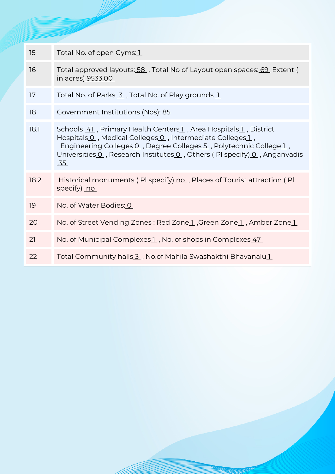| 15   | Total No. of open Gyms: 1                                                                                                                                                                                                                                                            |  |  |  |
|------|--------------------------------------------------------------------------------------------------------------------------------------------------------------------------------------------------------------------------------------------------------------------------------------|--|--|--|
| 16   | Total approved layouts: 58, Total No of Layout open spaces: 69 Extent (<br>in acres <u>) 9533.00</u>                                                                                                                                                                                 |  |  |  |
| 17   | Total No. of Parks 3, Total No. of Play grounds 1                                                                                                                                                                                                                                    |  |  |  |
| 18   | Government Institutions (Nos): 85                                                                                                                                                                                                                                                    |  |  |  |
| 18.1 | Schools 41, Primary Health Centers 1, Area Hospitals 1, District<br>Hospitals 0, Medical Colleges 0, Intermediate Colleges 1,<br>Engineering Colleges 0, Degree Colleges 5, Polytechnic College 1,<br>Universities 0, Research Institutes 0, Others (PI specify) 0, Anganvadis<br>35 |  |  |  |
| 18.2 | Historical monuments (PI specify) no, Places of Tourist attraction (PI<br>specify) no                                                                                                                                                                                                |  |  |  |
| 19   | No. of Water Bodies: 0                                                                                                                                                                                                                                                               |  |  |  |
| 20   | No. of Street Vending Zones: Red Zonel, Green Zonel, Amber Zonel                                                                                                                                                                                                                     |  |  |  |
| 21   | No. of Municipal Complexes 1, No. of shops in Complexes 47                                                                                                                                                                                                                           |  |  |  |
| 22   | Total Community halls 3, No.of Mahila Swashakthi Bhavanalu 1                                                                                                                                                                                                                         |  |  |  |